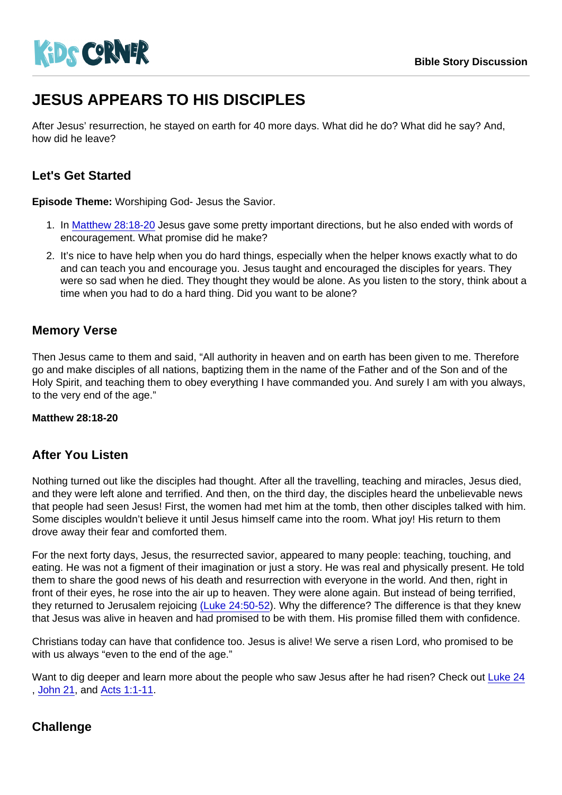# JESUS APPEARS TO HIS DISCIPLES

After Jesus' resurrection, he stayed on earth for 40 more days. What did he do? What did he say? And, how did he leave?

## Let's Get Started

Episode Theme: Worshiping God- Jesus the Savior.

- 1. In [Matthew 28:18-20](https://www.biblegateway.com/passage/?search=Matthew+28:18-20&version=NIV) Jesus gave some pretty important directions, but he also ended with words of encouragement. What promise did he make?
- 2. It's nice to have help when you do hard things, especially when the helper knows exactly what to do and can teach you and encourage you. Jesus taught and encouraged the disciples for years. They were so sad when he died. They thought they would be alone. As you listen to the story, think about a time when you had to do a hard thing. Did you want to be alone?

### Memory Verse

Then Jesus came to them and said, "All authority in heaven and on earth has been given to me. Therefore go and make disciples of all nations, baptizing them in the name of the Father and of the Son and of the Holy Spirit, and teaching them to obey everything I have commanded you. And surely I am with you always, to the very end of the age."

Matthew 28:18-20

#### After You Listen

Nothing turned out like the disciples had thought. After all the travelling, teaching and miracles, Jesus died, and they were left alone and terrified. And then, on the third day, the disciples heard the unbelievable news that people had seen Jesus! First, the women had met him at the tomb, then other disciples talked with him. Some disciples wouldn't believe it until Jesus himself came into the room. What joy! His return to them drove away their fear and comforted them.

For the next forty days, Jesus, the resurrected savior, appeared to many people: teaching, touching, and eating. He was not a figment of their imagination or just a story. He was real and physically present. He told them to share the good news of his death and resurrection with everyone in the world. And then, right in front of their eyes, he rose into the air up to heaven. They were alone again. But instead of being terrified, they returned to Jerusalem rejoicing [\(Luke 24:50-52\)](https://www.biblegateway.com/passage/?search=Luke+24:50-52&version=NIV). Why the difference? The difference is that they knew that Jesus was alive in heaven and had promised to be with them. His promise filled them with confidence.

Christians today can have that confidence too. Jesus is alive! We serve a risen Lord, who promised to be with us always "even to the end of the age."

Want to dig deeper and learn more about the people who saw Jesus after he had risen? Check out [Luke 24](https://www.biblegateway.com/passage/?search=Luke+24&version=NIV) , [John 21](https://www.biblegateway.com/passage/?search=john+21&version=NIV), and [Acts 1:1-11](https://www.biblegateway.com/passage/?search=Acts+1:1-+11&version=NIV).

## **Challenge**